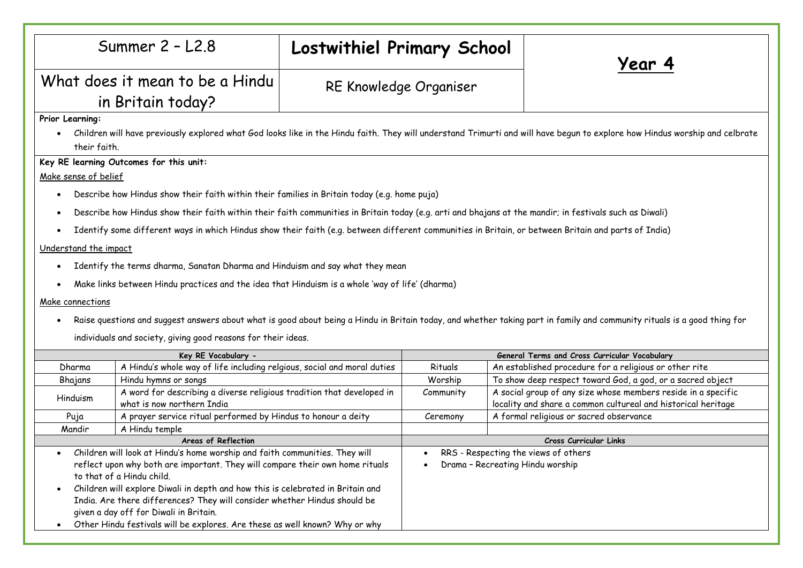|                                                                                                                                                                                             | Summer $2 - L2.8$                                                                                                                                    | Lostwithiel Primary School                    |                                      |                        | Year 4                                                        |  |
|---------------------------------------------------------------------------------------------------------------------------------------------------------------------------------------------|------------------------------------------------------------------------------------------------------------------------------------------------------|-----------------------------------------------|--------------------------------------|------------------------|---------------------------------------------------------------|--|
| What does it mean to be a Hindu                                                                                                                                                             |                                                                                                                                                      | RE Knowledge Organiser                        |                                      |                        |                                                               |  |
|                                                                                                                                                                                             | in Britain today?                                                                                                                                    |                                               |                                      |                        |                                                               |  |
| Prior Learning:                                                                                                                                                                             |                                                                                                                                                      |                                               |                                      |                        |                                                               |  |
| Children will have previously explored what God looks like in the Hindu faith. They will understand Trimurti and will have begun to explore how Hindus worship and celbrate<br>their faith. |                                                                                                                                                      |                                               |                                      |                        |                                                               |  |
|                                                                                                                                                                                             | Key RE learning Outcomes for this unit:                                                                                                              |                                               |                                      |                        |                                                               |  |
| Make sense of belief                                                                                                                                                                        |                                                                                                                                                      |                                               |                                      |                        |                                                               |  |
| Describe how Hindus show their faith within their families in Britain today (e.g. home puja)<br>$\bullet$                                                                                   |                                                                                                                                                      |                                               |                                      |                        |                                                               |  |
| Describe how Hindus show their faith within their faith communities in Britain today (e.g. arti and bhajans at the mandir; in festivals such as Diwali)                                     |                                                                                                                                                      |                                               |                                      |                        |                                                               |  |
| $\bullet$                                                                                                                                                                                   |                                                                                                                                                      |                                               |                                      |                        |                                                               |  |
|                                                                                                                                                                                             | Identify some different ways in which Hindus show their faith (e.g. between different communities in Britain, or between Britain and parts of India) |                                               |                                      |                        |                                                               |  |
| Understand the impact                                                                                                                                                                       |                                                                                                                                                      |                                               |                                      |                        |                                                               |  |
| $\bullet$                                                                                                                                                                                   | Identify the terms dharma, Sanatan Dharma and Hinduism and say what they mean                                                                        |                                               |                                      |                        |                                                               |  |
|                                                                                                                                                                                             |                                                                                                                                                      |                                               |                                      |                        |                                                               |  |
| Make links between Hindu practices and the idea that Hinduism is a whole 'way of life' (dharma)                                                                                             |                                                                                                                                                      |                                               |                                      |                        |                                                               |  |
| Make connections                                                                                                                                                                            |                                                                                                                                                      |                                               |                                      |                        |                                                               |  |
| Raise questions and suggest answers about what is good about being a Hindu in Britain today, and whether taking part in family and community rituals is a good thing for<br>$\bullet$       |                                                                                                                                                      |                                               |                                      |                        |                                                               |  |
| individuals and society, giving good reasons for their ideas.                                                                                                                               |                                                                                                                                                      |                                               |                                      |                        |                                                               |  |
| Key RE Vocabulary -                                                                                                                                                                         |                                                                                                                                                      | General Terms and Cross Curricular Vocabulary |                                      |                        |                                                               |  |
| Dharma                                                                                                                                                                                      | A Hindu's whole way of life including relgious, social and moral duties                                                                              |                                               | Rituals                              |                        | An established procedure for a religious or other rite        |  |
| Bhajans                                                                                                                                                                                     | Hindu hymns or songs                                                                                                                                 |                                               | Worship                              |                        | To show deep respect toward God, a god, or a sacred object    |  |
| Hinduism                                                                                                                                                                                    | A word for describing a diverse religious tradition that developed in                                                                                |                                               | Community                            |                        | A social group of any size whose members reside in a specific |  |
|                                                                                                                                                                                             | what is now northern India                                                                                                                           |                                               |                                      |                        | locality and share a common cultureal and historical heritage |  |
| Puja                                                                                                                                                                                        | A prayer service ritual performed by Hindus to honour a deity<br>A Hindu temple                                                                      |                                               | Ceremony                             |                        | A formal religious or sacred observance                       |  |
| Mandir<br>Areas of Reflection                                                                                                                                                               |                                                                                                                                                      |                                               |                                      | Cross Curricular Links |                                                               |  |
| Children will look at Hindu's home worship and faith communities. They will                                                                                                                 |                                                                                                                                                      |                                               | RRS - Respecting the views of others |                        |                                                               |  |
| reflect upon why both are important. They will compare their own home rituals                                                                                                               |                                                                                                                                                      |                                               | Drama - Recreating Hindu worship     |                        |                                                               |  |
| to that of a Hindu child.                                                                                                                                                                   |                                                                                                                                                      |                                               |                                      |                        |                                                               |  |
| Children will explore Diwali in depth and how this is celebrated in Britain and<br>$\bullet$                                                                                                |                                                                                                                                                      |                                               |                                      |                        |                                                               |  |
| India. Are there differences? They will consider whether Hindus should be<br>given a day off for Diwali in Britain.                                                                         |                                                                                                                                                      |                                               |                                      |                        |                                                               |  |
|                                                                                                                                                                                             | Other Hindu festivals will be explores. Are these as well known? Why or why                                                                          |                                               |                                      |                        |                                                               |  |
|                                                                                                                                                                                             |                                                                                                                                                      |                                               |                                      |                        |                                                               |  |